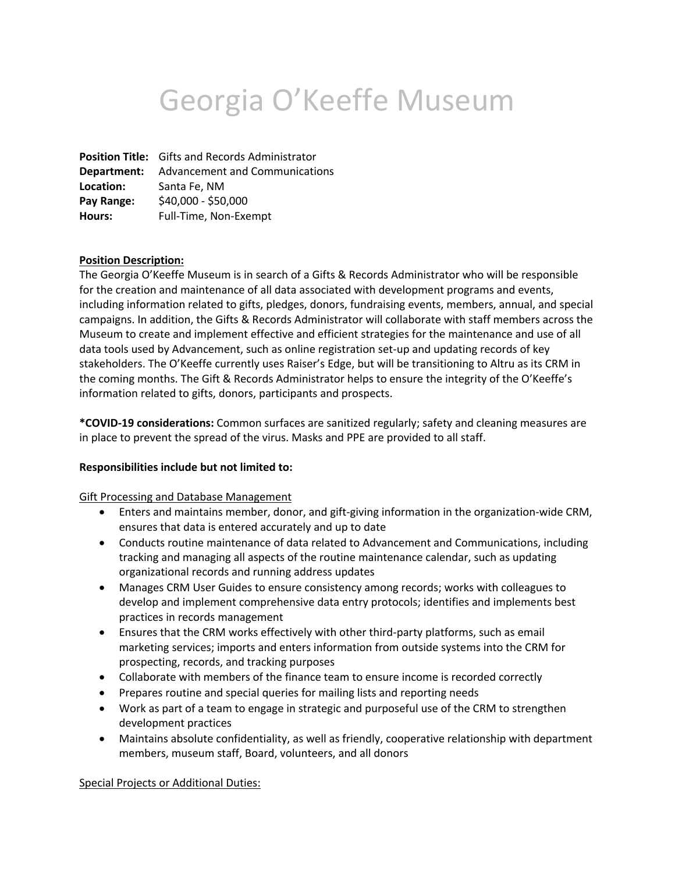# Georgia O'Keeffe Museum

**Position Title:** Gifts and Records Administrator **Department:** Advancement and Communications **Location:** Santa Fe, NM **Pay Range:** \$40,000 - \$50,000 **Hours:** Full-Time, Non-Exempt

#### **Position Description:**

The Georgia O'Keeffe Museum is in search of a Gifts & Records Administrator who will be responsible for the creation and maintenance of all data associated with development programs and events, including information related to gifts, pledges, donors, fundraising events, members, annual, and special campaigns. In addition, the Gifts & Records Administrator will collaborate with staff members across the Museum to create and implement effective and efficient strategies for the maintenance and use of all data tools used by Advancement, such as online registration set-up and updating records of key stakeholders. The O'Keeffe currently uses Raiser's Edge, but will be transitioning to Altru as its CRM in the coming months. The Gift & Records Administrator helps to ensure the integrity of the O'Keeffe's information related to gifts, donors, participants and prospects.

**\*COVID-19 considerations:** Common surfaces are sanitized regularly; safety and cleaning measures are in place to prevent the spread of the virus. Masks and PPE are provided to all staff.

#### **Responsibilities include but not limited to:**

#### Gift Processing and Database Management

- Enters and maintains member, donor, and gift-giving information in the organization-wide CRM, ensures that data is entered accurately and up to date
- Conducts routine maintenance of data related to Advancement and Communications, including tracking and managing all aspects of the routine maintenance calendar, such as updating organizational records and running address updates
- Manages CRM User Guides to ensure consistency among records; works with colleagues to develop and implement comprehensive data entry protocols; identifies and implements best practices in records management
- Ensures that the CRM works effectively with other third-party platforms, such as email marketing services; imports and enters information from outside systems into the CRM for prospecting, records, and tracking purposes
- Collaborate with members of the finance team to ensure income is recorded correctly
- Prepares routine and special queries for mailing lists and reporting needs
- Work as part of a team to engage in strategic and purposeful use of the CRM to strengthen development practices
- Maintains absolute confidentiality, as well as friendly, cooperative relationship with department members, museum staff, Board, volunteers, and all donors

Special Projects or Additional Duties: